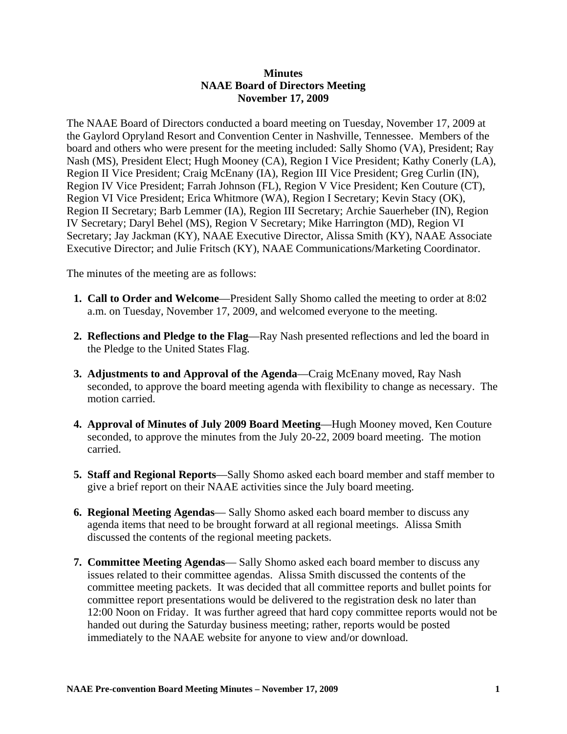## **Minutes NAAE Board of Directors Meeting November 17, 2009**

The NAAE Board of Directors conducted a board meeting on Tuesday, November 17, 2009 at the Gaylord Opryland Resort and Convention Center in Nashville, Tennessee. Members of the board and others who were present for the meeting included: Sally Shomo (VA), President; Ray Nash (MS), President Elect; Hugh Mooney (CA), Region I Vice President; Kathy Conerly (LA), Region II Vice President; Craig McEnany (IA), Region III Vice President; Greg Curlin (IN), Region IV Vice President; Farrah Johnson (FL), Region V Vice President; Ken Couture (CT), Region VI Vice President; Erica Whitmore (WA), Region I Secretary; Kevin Stacy (OK), Region II Secretary; Barb Lemmer (IA), Region III Secretary; Archie Sauerheber (IN), Region IV Secretary; Daryl Behel (MS), Region V Secretary; Mike Harrington (MD), Region VI Secretary; Jay Jackman (KY), NAAE Executive Director, Alissa Smith (KY), NAAE Associate Executive Director; and Julie Fritsch (KY), NAAE Communications/Marketing Coordinator.

The minutes of the meeting are as follows:

- **1. Call to Order and Welcome**—President Sally Shomo called the meeting to order at 8:02 a.m. on Tuesday, November 17, 2009, and welcomed everyone to the meeting.
- **2. Reflections and Pledge to the Flag**—Ray Nash presented reflections and led the board in the Pledge to the United States Flag.
- **3. Adjustments to and Approval of the Agenda**—Craig McEnany moved, Ray Nash seconded, to approve the board meeting agenda with flexibility to change as necessary. The motion carried.
- **4. Approval of Minutes of July 2009 Board Meeting**—Hugh Mooney moved, Ken Couture seconded, to approve the minutes from the July 20-22, 2009 board meeting. The motion carried.
- **5. Staff and Regional Reports**—Sally Shomo asked each board member and staff member to give a brief report on their NAAE activities since the July board meeting.
- **6. Regional Meeting Agendas** Sally Shomo asked each board member to discuss any agenda items that need to be brought forward at all regional meetings. Alissa Smith discussed the contents of the regional meeting packets.
- **7. Committee Meeting Agendas** Sally Shomo asked each board member to discuss any issues related to their committee agendas. Alissa Smith discussed the contents of the committee meeting packets. It was decided that all committee reports and bullet points for committee report presentations would be delivered to the registration desk no later than 12:00 Noon on Friday. It was further agreed that hard copy committee reports would not be handed out during the Saturday business meeting; rather, reports would be posted immediately to the NAAE website for anyone to view and/or download.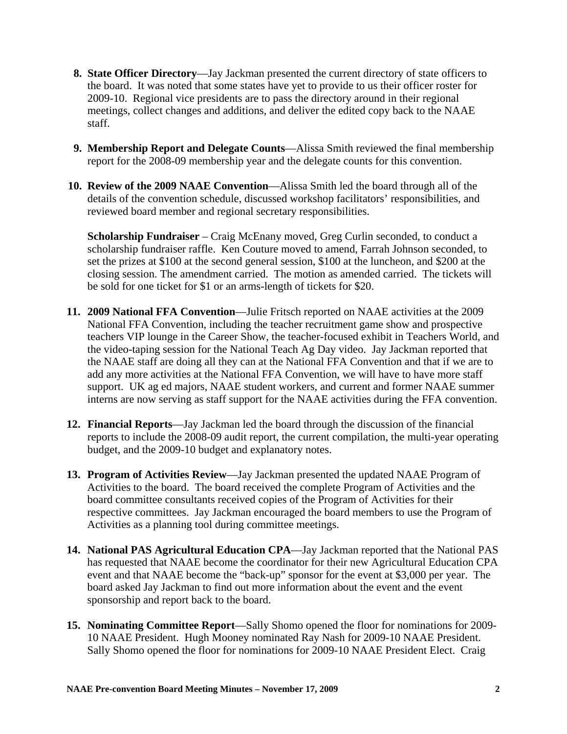- **8. State Officer Directory**—Jay Jackman presented the current directory of state officers to the board. It was noted that some states have yet to provide to us their officer roster for 2009-10. Regional vice presidents are to pass the directory around in their regional meetings, collect changes and additions, and deliver the edited copy back to the NAAE staff.
- **9. Membership Report and Delegate Counts**—Alissa Smith reviewed the final membership report for the 2008-09 membership year and the delegate counts for this convention.
- **10. Review of the 2009 NAAE Convention**—Alissa Smith led the board through all of the details of the convention schedule, discussed workshop facilitators' responsibilities, and reviewed board member and regional secretary responsibilities.

**Scholarship Fundraiser** – Craig McEnany moved, Greg Curlin seconded, to conduct a scholarship fundraiser raffle. Ken Couture moved to amend, Farrah Johnson seconded, to set the prizes at \$100 at the second general session, \$100 at the luncheon, and \$200 at the closing session. The amendment carried. The motion as amended carried. The tickets will be sold for one ticket for \$1 or an arms-length of tickets for \$20.

- **11. 2009 National FFA Convention**—Julie Fritsch reported on NAAE activities at the 2009 National FFA Convention, including the teacher recruitment game show and prospective teachers VIP lounge in the Career Show, the teacher-focused exhibit in Teachers World, and the video-taping session for the National Teach Ag Day video. Jay Jackman reported that the NAAE staff are doing all they can at the National FFA Convention and that if we are to add any more activities at the National FFA Convention, we will have to have more staff support. UK ag ed majors, NAAE student workers, and current and former NAAE summer interns are now serving as staff support for the NAAE activities during the FFA convention.
- **12. Financial Reports**—Jay Jackman led the board through the discussion of the financial reports to include the 2008-09 audit report, the current compilation, the multi-year operating budget, and the 2009-10 budget and explanatory notes.
- **13. Program of Activities Review**—Jay Jackman presented the updated NAAE Program of Activities to the board. The board received the complete Program of Activities and the board committee consultants received copies of the Program of Activities for their respective committees. Jay Jackman encouraged the board members to use the Program of Activities as a planning tool during committee meetings.
- **14. National PAS Agricultural Education CPA**—Jay Jackman reported that the National PAS has requested that NAAE become the coordinator for their new Agricultural Education CPA event and that NAAE become the "back-up" sponsor for the event at \$3,000 per year. The board asked Jay Jackman to find out more information about the event and the event sponsorship and report back to the board.
- **15. Nominating Committee Report**—Sally Shomo opened the floor for nominations for 2009- 10 NAAE President. Hugh Mooney nominated Ray Nash for 2009-10 NAAE President. Sally Shomo opened the floor for nominations for 2009-10 NAAE President Elect. Craig